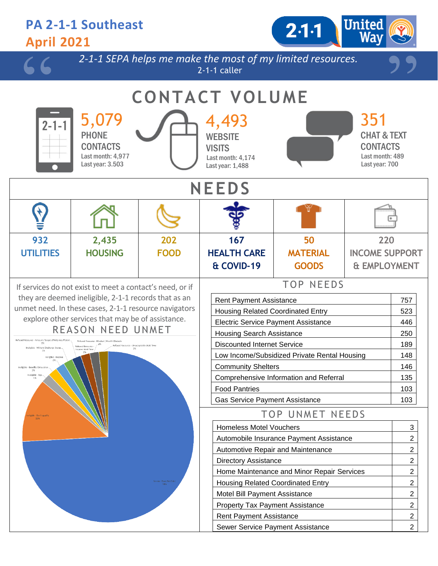#### **PA 2-1-1 Southeast**  $2.1 - 1$ **April 2021** *2-1-1 SEPA helps me make the most of my limited resources.* 2-1-1 caller **CONTACT VOLUME** 5,079 4,493 351 2-1-PHONE **WEBSITF** CHAT & TEXT **CONTACTS VISITS CONTACTS** Last month: 4,977 Last month: 489 Last month: 4,174 Last year: 3.503 Last year: 700 Last year: 1,488 **NEEDS 2,435 932 202 167 50 220 UTILITIES HOUSING FOOD HEALTH CARE MATERIAL INCOME SUPPORT & COVID-19 GOODS & EMPLOYMENT** TOP NEEDS If services do not exist to meet a contact's need, or if they are deemed ineligible, 2-1-1 records that as an Rent Payment Assistance **757** unmet need. In these cases, 2-1-1 resource navigators Housing Related Coordinated Entry **Figure 1** 523 explore other services that may be of assistance. Electric Service Payment Assistance | 446 REASON NEED UNMET Housing Search Assistance 250 Discounted Internet Service 189 Low Income/Subsidized Private Rental Housing 148 Community Shelters 146 Comprehensive Information and Referral 135 Food Pantries 103 Gas Service Payment Assistance 103 TOP UNMET NEEDS Homeless Motel Vouchers **3 3** Automobile Insurance Payment Assistance 2 Automotive Repair and Maintenance **2** 2 Directory Assistance 2 Home Maintenance and Minor Repair Services 2 Housing Related Coordinated Entry **2** 2 Motel Bill Payment Assistance 2 Property Tax Payment Assistance 2001 Rent Payment Assistance 2 Sewer Service Payment Assistance **2** 2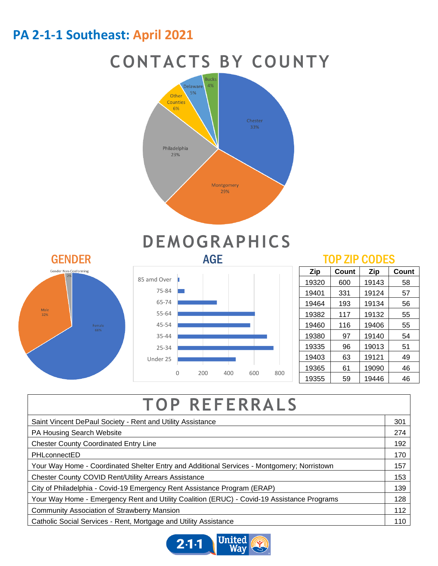#### **PA 2-1-1 Southeast: April 2021**

### **CONTACTS BY COUNTY**



# GENDER AGE AGE TOP ZIP CODES Gender Non-Conforming Male<br>32% Female<br>66%

## **DEMOGRAPHICS**



| Zip   | Count | Zip   | Count |
|-------|-------|-------|-------|
| 19320 | 600   | 19143 | 58    |
| 19401 | 331   | 19124 | 57    |
| 19464 | 193   | 19134 | 56    |
| 19382 | 117   | 19132 | 55    |
| 19460 | 116   | 19406 | 55    |
| 19380 | 97    | 19140 | 54    |
| 19335 | 96    | 19013 | 51    |
| 19403 | 63    | 19121 | 49    |
| 19365 | 61    | 19090 | 46    |
| 19355 | 59    | 19446 | 46    |

## **TOP REFERRALS**

| Saint Vincent DePaul Society - Rent and Utility Assistance                                 |  |
|--------------------------------------------------------------------------------------------|--|
| PA Housing Search Website                                                                  |  |
| <b>Chester County Coordinated Entry Line</b>                                               |  |
| PHLconnectED                                                                               |  |
| Your Way Home - Coordinated Shelter Entry and Additional Services - Montgomery; Norristown |  |
| <b>Chester County COVID Rent/Utility Arrears Assistance</b>                                |  |
| City of Philadelphia - Covid-19 Emergency Rent Assistance Program (ERAP)                   |  |
| Your Way Home - Emergency Rent and Utility Coalition (ERUC) - Covid-19 Assistance Programs |  |
| <b>Community Association of Strawberry Mansion</b>                                         |  |
| Catholic Social Services - Rent, Mortgage and Utility Assistance                           |  |